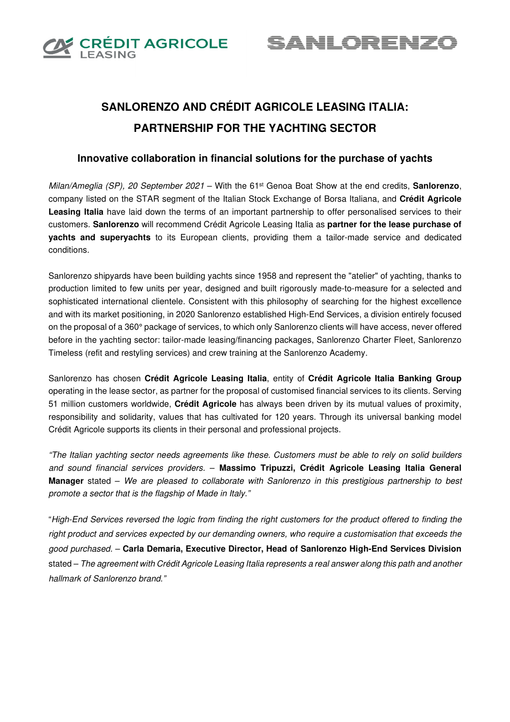

<u>SANLORENZ(</u>

# **SANLORENZO AND CRÉDIT AGRICOLE LEASING ITALIA: PARTNERSHIP FOR THE YACHTING SECTOR**

## **Innovative collaboration in financial solutions for the purchase of yachts**

Milan/Ameglia (SP), 20 September 2021 – With the 61<sup>st</sup> Genoa Boat Show at the end credits, **Sanlorenzo**, company listed on the STAR segment of the Italian Stock Exchange of Borsa Italiana, and **Crédit Agricole Leasing Italia** have laid down the terms of an important partnership to offer personalised services to their customers. **Sanlorenzo** will recommend Crédit Agricole Leasing Italia as **partner for the lease purchase of yachts and superyachts** to its European clients, providing them a tailor-made service and dedicated conditions.

Sanlorenzo shipyards have been building yachts since 1958 and represent the "atelier" of yachting, thanks to production limited to few units per year, designed and built rigorously made-to-measure for a selected and sophisticated international clientele. Consistent with this philosophy of searching for the highest excellence and with its market positioning, in 2020 Sanlorenzo established High-End Services, a division entirely focused on the proposal of a 360° package of services, to which only Sanlorenzo clients will have access, never offered before in the yachting sector: tailor-made leasing/financing packages, Sanlorenzo Charter Fleet, Sanlorenzo Timeless (refit and restyling services) and crew training at the Sanlorenzo Academy.

Sanlorenzo has chosen **Crédit Agricole Leasing Italia**, entity of **Crédit Agricole Italia Banking Group** operating in the lease sector, as partner for the proposal of customised financial services to its clients. Serving 51 million customers worldwide, **Crédit Agricole** has always been driven by its mutual values of proximity, responsibility and solidarity, values that has cultivated for 120 years. Through its universal banking model Crédit Agricole supports its clients in their personal and professional projects.

"The Italian yachting sector needs agreements like these. Customers must be able to rely on solid builders and sound financial services providers. – **Massimo Tripuzzi, Crédit Agricole Leasing Italia General Manager** stated – We are pleased to collaborate with Sanlorenzo in this prestigious partnership to best promote a sector that is the flagship of Made in Italy."

"High-End Services reversed the logic from finding the right customers for the product offered to finding the right product and services expected by our demanding owners, who require a customisation that exceeds the good purchased. – **Carla Demaria, Executive Director, Head of Sanlorenzo High-End Services Division** stated – The agreement with Crédit Agricole Leasing Italia represents a real answer along this path and another hallmark of Sanlorenzo brand."